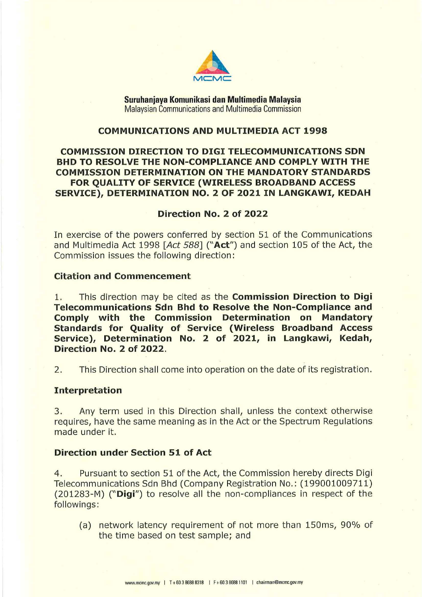

**Suruhanjaya Kornunikasi dan Multimedia Malaysia**  Malaysian Communications and Multimedia Commission

# **COMMUNICATIONS AND MULTIMEDIA ACT 1998**

# **COMMISSION DIRECTION TO DIGI TELECOMMUNICATIONS SDN BHD TO RESOLVE THE NON-COMPLIANCE AND COMPLY WITH THE COMMISSION DETERMINATION ON THE MANDATORY STANDARDS FOR QUALITY OF SERVICE (WIRELESS BROADBAND ACCESS SERVICE), DETERMINATION NO. 2 OF 2021 IN LANGKAWI, KEDAH**

#### **Direction No. 2 of 2022**

In exercise of the powers conferred by section 51 of the Communications and Multimedia Act 1998 *[Act 588]* **("Act")** and section 105 of the Act, the Commission issues the following direction:

### **Citation and Commencement**

1. This direction may be cited as the **Commission Direction to Digi Telecommunications Sdn Bhd to Resolve the Non-Compliance and Comply with the Commission Determination on Mandatory Standards for Quality of Service (Wireless Broadband Access Service), Determination No. 2 of 2021, in Langkawi, Kedah, Direction No. 2 of 2022.** 

2. This Direction shall come into operation on the date of its registration.

#### **Interpretation**

3. Any term used in this Direction shall, unless the context otherwise requires, have the same meaning as in the Act or the Spectrum Regulations made under it.

#### **Direction under Section 51 of Act**

4. Pursuant to section 51 of the Act, the Commission hereby directs Digi Telecommunications Sdn Bhd (Company Registration No.: (199001009711) (201283-M) **("Digi")** to resolve all the non-compliances in respect of the followings:

(a) network latency requirement of not more than 150ms, 90% of the time based on test sample; and